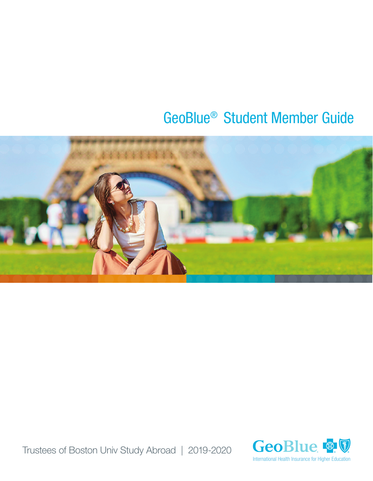# GeoBlue® Student Member Guide



Trustees of Boston Univ Study Abroad | 2019-2020

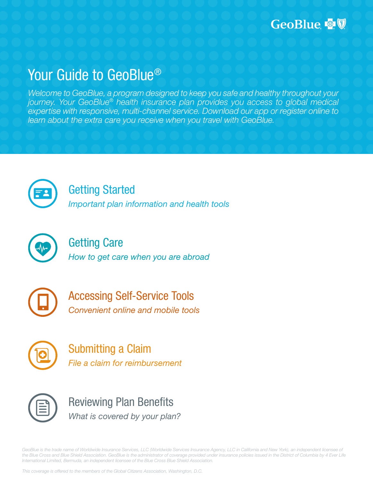# Your Guide to GeoBlue®

*Welcome to GeoBlue, a program designed to keep you safe and healthy throughout your journey. Your GeoBlue® health insurance plan provides you access to global medical expertise with responsive, multi-channel service. Download our app or register online to learn about the extra care you receive when you travel with GeoBlue.*



# Getting Started

*Important plan information and health tools*



# Getting Care *How to get care when you are abroad*



Accessing Self-Service Tools *Convenient online and mobile tools*



Submitting a Claim *File a claim for reimbursement* 



Reviewing Plan Benefits *What is covered by your plan?*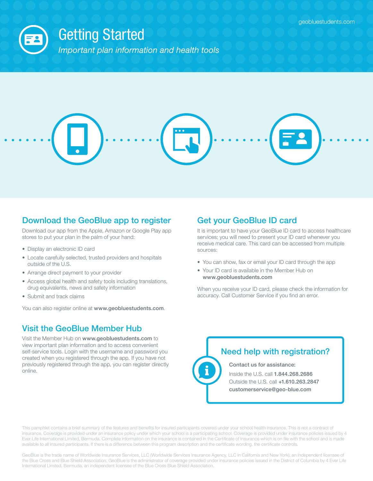

# Download the GeoBlue app to register

Download our app from the Apple, Amazon or Google Play app stores to put your plan in the palm of your hand:

- Display an electronic ID card
- Locate carefully selected, trusted providers and hospitals outside of the U.S.
- Arrange direct payment to your provider
- Access global health and safety tools including translations, drug equivalents, news and safety information
- Submit and track claims

You can also register online at www.geobluestudents.com.

# Visit the GeoBlue Member Hub

Visit the Member Hub on www.geobluestudents.com to view important plan information and to access convenient self-service tools. Login with the username and password you created when you registered through the app. If you have not previously registered through the app, you can register directly online.

# Get your GeoBlue ID card

It is important to have your GeoBlue ID card to access healthcare services; you will need to present your ID card whenever you receive medical care. This card can be accessed from multiple sources:

- You can show, fax or email your ID card through the app
- Your ID card is available in the Member Hub on www.geobluestudents.com

When you receive your ID card, please check the information for accuracy. Call Customer Service if you find an error.

### Need help with registration?

Contact us for assistance:

Inside the U.S. call 1.844.268.2686 Outside the U.S. call +1.610.263.2847 customerservice@geo-blue.com

This pamphlet contains a brief summary of the features and benefits for insured participants covered under your school health insurance. This is not a contract of insurance. Coverage is provided under an insurance policy under which your school is a participating school. Coverage is provided under insurance policies issued by 4 Ever Life International Limited, Bermuda. Complete information on the insurance is contained in the Certificate of Insurance which is on file with the school and is made available to all insured participants. If there is a difference between this program description and the certificate wording, the certificate controls.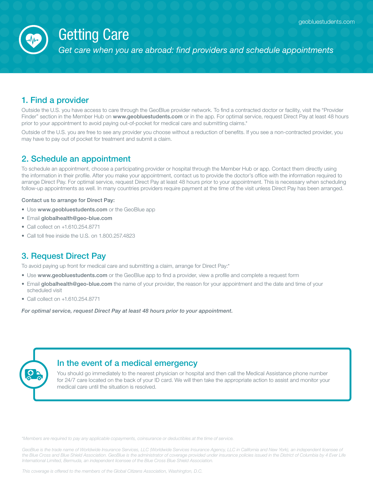

# Getting Care

*Get care when you are abroad: find providers and schedule appointments*

## 1. Find a provider

Outside the U.S. you have access to care through the GeoBlue provider network. To find a contracted doctor or facility, visit the "Provider Finder" section in the Member Hub on www.geobluestudents.com or in the app. For optimal service, request Direct Pay at least 48 hours prior to your appointment to avoid paying out-of-pocket for medical care and submitting claims.\*

Outside of the U.S. you are free to see any provider you choose without a reduction of benefits. If you see a non-contracted provider, you may have to pay out of pocket for treatment and submit a claim.

### 2. Schedule an appointment

To schedule an appointment, choose a participating provider or hospital through the Member Hub or app. Contact them directly using the information in their profile. After you make your appointment, contact us to provide the doctor's office with the information required to arrange Direct Pay. For optimal service, request Direct Pay at least 48 hours prior to your appointment. This is necessary when scheduling follow-up appointments as well. In many countries providers require payment at the time of the visit unless Direct Pay has been arranged.

Contact us to arrange for Direct Pay:

- Use www.geobluestudents.com or the GeoBlue app
- Email globalhealth@geo-blue.com
- Call collect on +1.610.254.8771
- Call toll free inside the U.S. on 1.800.257.4823

### 3. Request Direct Pay

To avoid paying up front for medical care and submitting a claim, arrange for Direct Pay:\*

- Use www.geobluestudents.com or the GeoBlue app to find a provider, view a profile and complete a request form
- Email globalhealth@geo-blue.com the name of your provider, the reason for your appointment and the date and time of your scheduled visit
- Call collect on +1.610.254.8771

*For optimal service, request Direct Pay at least 48 hours prior to your appointment.* 

#### In the event of a medical emergency

You should go immediately to the nearest physician or hospital and then call the Medical Assistance phone number for 24/7 care located on the back of your ID card. We will then take the appropriate action to assist and monitor your medical care until the situation is resolved.

*\*Members are required to pay any applicable copayments, coinsurance or deductibles at the time of service.*

GeoBlue is the trade name of Worldwide Insurance Services, LLC (Worldwide Services Insurance Agency, LLC in California and New York), an independent licensee of the Blue Cross and Blue Shield Association. GeoBlue is the administrator of coverage provided under insurance policies issued in the District of Columbia by 4 Ever Life *International Limited, Bermuda, an independent licensee of the Blue Cross Blue Shield Association.*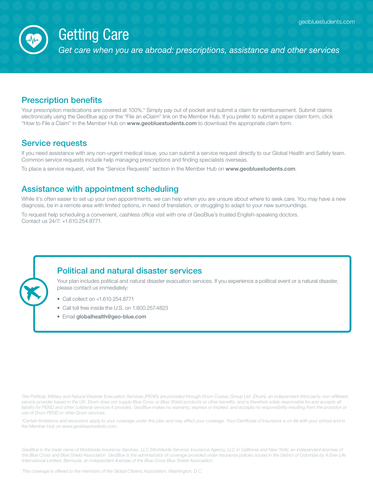

# Getting Care

*Get care when you are abroad: prescriptions, assistance and other services*

### Prescription benefits

Your prescription medications are covered at 100%.\* Simply pay out of pocket and submit a claim for reimbursement. Submit claims electronically using the GeoBlue app or the "File an eClaim" link on the Member Hub. If you prefer to submit a paper claim form, click "How to File a Claim" in the Member Hub on www.geobluestudents.com to download the appropriate claim form.

#### Service requests

If you need assistance with any non-urgent medical issue, you can submit a service request directly to our Global Health and Safety team. Common service requests include help managing prescriptions and finding specialists overseas.

To place a service request, visit the "Service Requests" section in the Member Hub on www.geobluestudents.com.

#### Assistance with appointment scheduling

While it's often easier to set up your own appointments, we can help when you are unsure about where to seek care. You may have a new diagnosis, be in a remote area with limited options, in need of translation, or struggling to adapt to your new surroundings.

To request help scheduling a convenient, cashless office visit with one of GeoBlue's trusted English-speaking doctors. Contact us 24/7: +1.610.254.8771.

#### Political and natural disaster services

Your plan includes political and natural disaster evacuation services. If you experience a political event or a natural disaster, please contact us immediately:

- Call collect on +1.610.254.8771
- Call toll free inside the U.S. on 1.800.257.4823
- Email globalhealth@geo-blue.com

*The Political, Military and Natural Disaster Evacuation Services (PEND) are provided through Drum Cussac Group Ltd. (Drum), an independent third party, non-affiliated*  service provider based in the UK. Drum does not supply Blue Cross or Blue Shield products or other benefits, and is therefore solely responsible for and accepts all liability for PEND and other collateral services it provides. GeoBlue makes no warranty, express or implied, and accepts no responsibility resulting from the provision or *use of Drum PEND or other Drum services.*

*\*Certain limitations and exclusions apply to your coverage under this plan and may affect your coverage. Your Certificate of Insurance is on file with your school and in the Member Hub on www.geobluestudents.com.*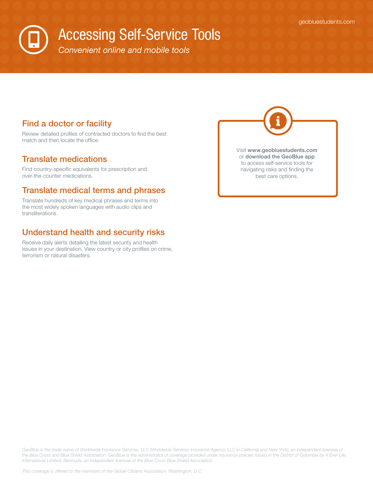# Accessing Self-Service Tools

*Convenient online and mobile tools*

### Find a doctor or facility

Review detailed profiles of contracted doctors to find the best match and then locate the office.

#### Translate medications

Find country-specific equivalents for prescription and over-the-counter medications.

### Translate medical terms and phrases

Translate hundreds of key medical phrases and terms into the most widely spoken languages with audio clips and transliterations.

### Understand health and security risks

Receive daily alerts detailing the latest security and health issues in your destination. View country or city profiles on crime, terrorism or natural disasters.

Visit www.geobluestudents.com or download the GeoBlue app to access self-service tools for navigating risks and finding the best care options.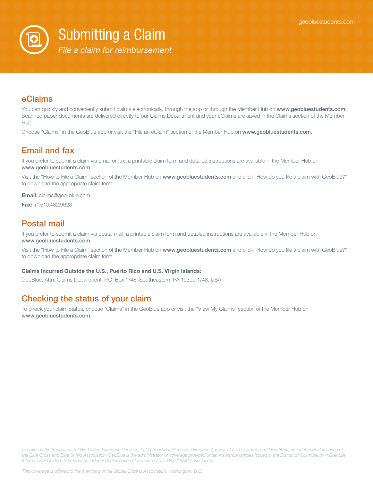

Submitting a Claim

*File a claim for reimbursement* 

### eClaims

You can quickly and conveniently submit claims electronically, through the app or through the Member Hub on www.geobluestudents.com. Scanned paper documents are delivered directly to our Claims Department and your eClaims are saved in the Claims section of the Member Hub.

Choose "Claims" in the GeoBlue app or visit the "File an eClaim" section of the Member Hub on www.geobluestudents.com.

### Email and fax

If you prefer to submit a claim via email or fax, a printable claim form and detailed instructions are available in the Member Hub on www.geobluestudents.com.

Visit the "How to File a Claim" section of the Member Hub on www.geobluestudents.com and click "How do you file a claim with GeoBlue?" to download the appropriate claim form.

Email: claims@geo-blue.com

Fax: +1.610.482.9623

### Postal mail

If you prefer to submit a claim via postal mail, a printable claim form and detailed instructions are available in the Member Hub on www.geobluestudents.com.

Visit the "How to File a Claim" section of the Member Hub on www.geobluestudents.com and click "How do you file a claim with GeoBlue?" to download the appropriate claim form.

#### Claims Incurred Outside the U.S., Puerto Rico and U.S. Virgin Islands:

GeoBlue, Attn: Claims Department, P.O. Box 1748, Southeastern, PA 19399-1748, USA.

### Checking the status of your claim

To check your claim status, choose "Claims" in the GeoBlue app or visit the "View My Claims" section of the Member Hub on www.geobluestudents.com.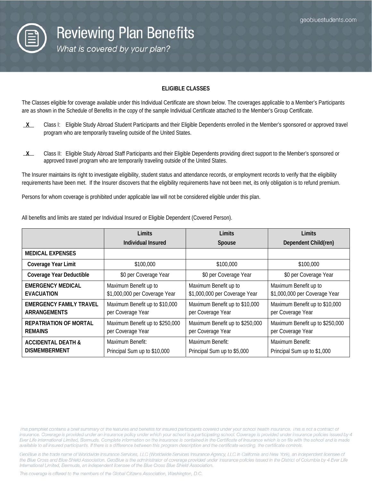

#### **ELIGIBLE CLASSES**

The Classes eligible for coverage available under this Individual Certificate are shown below. The coverages applicable to a Member's Participants are as shown in the Schedule of Benefits in the copy of the sample Individual Certificate attached to the Member's Group Certificate.

- **X** Class I: Eligible Study Abroad Student Participants and their Eligible Dependents enrolled in the Member's sponsored or approved travel program who are temporarily traveling outside of the United States.
- **X** Class II: Eligible Study Abroad Staff Participants and their Eligible Dependents providing direct support to the Member's sponsored or approved travel program who are temporarily traveling outside of the United States.

The Insurer maintains its right to investigate eligibility, student status and attendance records, or employment records to verify that the eligibility requirements have been met. If the Insurer discovers that the eligibility requirements have not been met, its only obligation is to refund premium.

Persons for whom coverage is prohibited under applicable law will not be considered eligible under this plan.

|                                                       | Limits                                                 | Limits                                                 | Limits                                                 |
|-------------------------------------------------------|--------------------------------------------------------|--------------------------------------------------------|--------------------------------------------------------|
|                                                       | Individual Insured                                     | Spouse                                                 | Dependent Child(ren)                                   |
| <b>MEDICAL EXPENSES</b>                               |                                                        |                                                        |                                                        |
| Coverage Year Limit                                   | \$100,000                                              | \$100,000                                              | \$100,000                                              |
| Coverage Year Deductible                              | \$0 per Coverage Year                                  | \$0 per Coverage Year                                  | \$0 per Coverage Year                                  |
| <b>EMERGENCY MEDICAL</b><br><b>EVACUATION</b>         | Maximum Benefit up to<br>\$1,000,000 per Coverage Year | Maximum Benefit up to<br>\$1,000,000 per Coverage Year | Maximum Benefit up to<br>\$1,000,000 per Coverage Year |
| <b>EMERGENCY FAMILY TRAVEL</b><br><b>ARRANGEMENTS</b> | Maximum Benefit up to \$10,000<br>per Coverage Year    | Maximum Benefit up to \$10,000<br>per Coverage Year    | Maximum Benefit up to \$10,000<br>per Coverage Year    |
| <b>REPATRIATION OF MORTAL</b><br><b>REMAINS</b>       | Maximum Benefit up to \$250,000<br>per Coverage Year   | Maximum Benefit up to \$250,000<br>per Coverage Year   | Maximum Benefit up to \$250,000<br>per Coverage Year   |
| <b>ACCIDENTAL DEATH &amp;</b><br><b>DISMEMBERMENT</b> | Maximum Benefit:<br>Principal Sum up to \$10,000       | Maximum Benefit:<br>Principal Sum up to \$5,000        | Maximum Benefit:<br>Principal Sum up to \$1,000        |

All benefits and limits are stated per Individual Insured or Eligible Dependent (Covered Person).

This pamphlet contains a brief summary of the features and benefits for insured participants covered under your school health insurance. This is not a contract of insurance. Coverage is provided under an insurance policy under which your school is a participating school. Coverage is provided under insurance policies issued by 4 Ever Life International Limited, Bermuda. Complete information on the insurance is contained in the Certificate of Insurance which is on file with the school and is made available to all insured participants. If there is a difference between this program description and the certificate wording, the certificate controls.

GeoBlue is the trade name of Worldwide Insurance Services, LLC (Worldwide Services Insurance Agency, LLC in California and New York), an independent licensee of the Blue Cross and Blue Shield Association. GeoBlue is the administrator of coverage provided under insurance policies issued in the District of Columbia by 4 Ever Life International Limited, Bermuda, an independent licensee of the Blue Cross Blue Shield Association.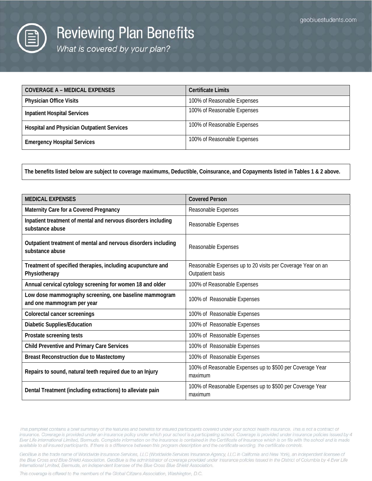

# **Reviewing Plan Benefits**

What is covered by your plan?

| COVERAGE A – MEDICAL EXPENSES                     | <b>Certificate Limits</b>   |
|---------------------------------------------------|-----------------------------|
| <b>Physician Office Visits</b>                    | 100% of Reasonable Expenses |
| <b>Inpatient Hospital Services</b>                | 100% of Reasonable Expenses |
| <b>Hospital and Physician Outpatient Services</b> | 100% of Reasonable Expenses |
| <b>Emergency Hospital Services</b>                | 100% of Reasonable Expenses |

**The benefits listed below are subject to coverage maximums, Deductible, Coinsurance, and Copayments listed in Tables 1 & 2 above.**

| <b>MEDICAL EXPENSES</b>                                                              | <b>Covered Person</b>                                                           |
|--------------------------------------------------------------------------------------|---------------------------------------------------------------------------------|
| Maternity Care for a Covered Pregnancy                                               | Reasonable Expenses                                                             |
| Inpatient treatment of mental and nervous disorders including<br>substance abuse     | Reasonable Expenses                                                             |
| Outpatient treatment of mental and nervous disorders including<br>substance abuse    | Reasonable Expenses                                                             |
| Treatment of specified therapies, including acupuncture and<br>Physiotherapy         | Reasonable Expenses up to 20 visits per Coverage Year on an<br>Outpatient basis |
| Annual cervical cytology screening for women 18 and older                            | 100% of Reasonable Expenses                                                     |
| Low dose mammography screening, one baseline mammogram<br>and one mammogram per year | 100% of Reasonable Expenses                                                     |
| <b>Colorectal cancer screenings</b>                                                  | 100% of Reasonable Expenses                                                     |
| <b>Diabetic Supplies/Education</b>                                                   | 100% of Reasonable Expenses                                                     |
| Prostate screening tests                                                             | 100% of Reasonable Expenses                                                     |
| <b>Child Preventive and Primary Care Services</b>                                    | 100% of Reasonable Expenses                                                     |
| <b>Breast Reconstruction due to Mastectomy</b>                                       | 100% of Reasonable Expenses                                                     |
| Repairs to sound, natural teeth required due to an Injury                            | 100% of Reasonable Expenses up to \$500 per Coverage Year<br>maximum            |
| Dental Treatment (including extractions) to alleviate pain                           | 100% of Reasonable Expenses up to \$500 per Coverage Year<br>maximum            |

This pamphlet contains a brief summary of the features and benefits for insured participants covered under your school health insurance. This is not a contract of insurance. Coverage is provided under an insurance policy under which your school is a participating school. Coverage is provided under insurance policies issued by 4 Ever Life International Limited, Bermuda. Complete information on the insurance is contained in the Certificate of Insurance which is on file with the school and is made available to all insured participants. If there is a difference between this program description and the certificate wording, the certificate controls.

GeoBlue is the trade name of Worldwide Insurance Services, LLC (Worldwide Services Insurance Agency, LLC in California and New York), an independent licensee of the Blue Cross and Blue Shield Association. GeoBlue is the administrator of coverage provided under insurance policies issued in the District of Columbia by 4 Ever Life International Limited, Bermuda, an independent licensee of the Blue Cross Blue Shield Association.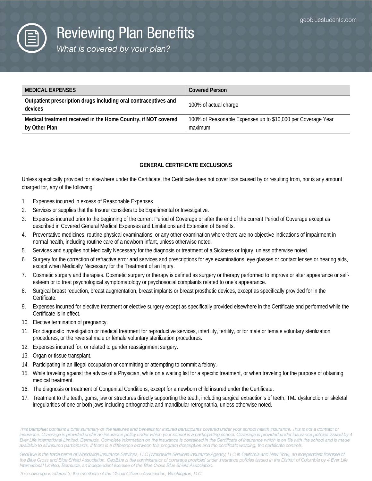

# **Reviewing Plan Benefits**

What is covered by your plan?

| <b>MEDICAL EXPENSES</b>                                                         | <b>Covered Person</b>                                                   |
|---------------------------------------------------------------------------------|-------------------------------------------------------------------------|
| Outpatient prescription drugs including oral contraceptives and<br>devices      | 100% of actual charge                                                   |
| Medical treatment received in the Home Country, if NOT covered<br>by Other Plan | 100% of Reasonable Expenses up to \$10,000 per Coverage Year<br>maximum |

#### **GENERAL CERTIFICATE EXCLUSIONS**

Unless specifically provided for elsewhere under the Certificate, the Certificate does not cover loss caused by or resulting from, nor is any amount charged for, any of the following:

- 1. Expenses incurred in excess of Reasonable Expenses.
- 2. Services or supplies that the Insurer considers to be Experimental or Investigative.
- 3. Expenses incurred prior to the beginning of the current Period of Coverage or after the end of the current Period of Coverage except as described in Covered General Medical Expenses and Limitations and Extension of Benefits.
- 4. Preventative medicines, routine physical examinations, or any other examination where there are no objective indications of impairment in normal health, including routine care of a newborn infant, unless otherwise noted.
- 5. Services and supplies not Medically Necessary for the diagnosis or treatment of a Sickness or Injury, unless otherwise noted.
- 6. Surgery for the correction of refractive error and services and prescriptions for eye examinations, eye glasses or contact lenses or hearing aids, except when Medically Necessary for the Treatment of an Injury.
- 7. Cosmetic surgery and therapies. Cosmetic surgery or therapy is defined as surgery or therapy performed to improve or alter appearance or selfesteem or to treat psychological symptomatology or psychosocial complaints related to one's appearance.
- 8. Surgical breast reduction, breast augmentation, breast implants or breast prosthetic devices, except as specifically provided for in the Certificate.
- 9. Expenses incurred for elective treatment or elective surgery except as specifically provided elsewhere in the Certificate and performed while the Certificate is in effect.
- 10. Elective termination of pregnancy.
- 11. For diagnostic investigation or medical treatment for reproductive services, infertility, fertility, or for male or female voluntary sterilization procedures, or the reversal male or female voluntary sterilization procedures.
- 12. Expenses incurred for, or related to gender reassignment surgery.
- 13. Organ or tissue transplant.
- 14. Participating in an illegal occupation or committing or attempting to commit a felony.
- 15. While traveling against the advice of a Physician, while on a waiting list for a specific treatment, or when traveling for the purpose of obtaining medical treatment.
- 16. The diagnosis or treatment of Congenital Conditions, except for a newborn child insured under the Certificate.
- 17. Treatment to the teeth, gums, jaw or structures directly supporting the teeth, including surgical extraction's of teeth, TMJ dysfunction or skeletal irregularities of one or both jaws including orthognathia and mandibular retrognathia, unless otherwise noted.

This pamphlet contains a brief summary of the features and benefits for insured participants covered under your school health insurance. This is not a contract of insurance. Coverage is provided under an insurance policy under which your school is a participating school. Coverage is provided under insurance policies issued by 4 Ever Life International Limited, Bermuda. Complete information on the insurance is contained in the Certificate of Insurance which is on file with the school and is made available to all insured participants. If there is a difference between this program description and the certificate wording, the certificate controls.

GeoBlue is the trade name of Worldwide Insurance Services, LLC (Worldwide Services Insurance Agency, LLC in California and New York), an independent licensee of the Blue Cross and Blue Shield Association. GeoBlue is the administrator of coverage provided under insurance policies issued in the District of Columbia by 4 Ever Life International Limited, Bermuda, an independent licensee of the Blue Cross Blue Shield Association.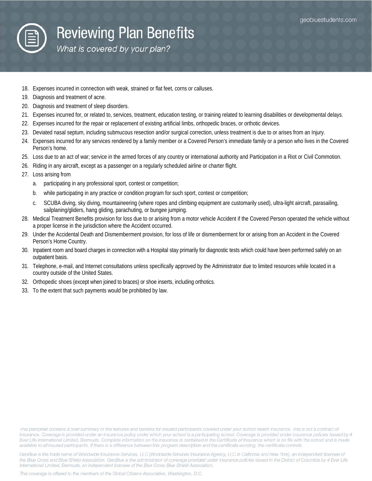

# **Reviewing Plan Benefits**

What is covered by your plan?

- 18. Expenses incurred in connection with weak, strained or flat feet, corns or calluses.
- 19. Diagnosis and treatment of acne.
- 20. Diagnosis and treatment of sleep disorders.
- 21. Expenses incurred for, or related to, services, treatment, education testing, or training related to learning disabilities or developmental delays.
- 22. Expenses incurred for the repair or replacement of existing artificial limbs, orthopedic braces, or orthotic devices.
- 23. Deviated nasal septum, including submucous resection and/or surgical correction, unless treatment is due to or arises from an Injury.
- 24. Expenses incurred for any services rendered by a family member or a Covered Person's immediate family or a person who lives in the Covered Person's home.
- 25. Loss due to an act of war; service in the armed forces of any country or international authority and Participation in a Riot or Civil Commotion.
- 26. Riding in any aircraft, except as a passenger on a regularly scheduled airline or charter flight.
- 27. Loss arising from
	- a. participating in any professional sport, contest or competition;
	- b. while participating in any practice or condition program for such sport, contest or competition;
	- c. SCUBA diving, sky diving, mountaineering (where ropes and climbing equipment are customarily used), ultra-light aircraft, parasailing, sailplaning/gliders, hang gliding, parachuting, or bungee jumping.
- 28. Medical Treatment Benefits provision for loss due to or arising from a motor vehicle Accident if the Covered Person operated the vehicle without a proper license in the jurisdiction where the Accident occurred.
- 29. Under the Accidental Death and Dismemberment provision, for loss of life or dismemberment for or arising from an Accident in the Covered Person's Home Country.
- 30. Inpatient room and board charges in connection with a Hospital stay primarily for diagnostic tests which could have been performed safely on an outpatient basis.
- 31. Telephone, e-mail, and Internet consultations unless specifically approved by the Administrator due to limited resources while located in a country outside of the United States.
- 32. Orthopedic shoes (except when joined to braces) or shoe inserts, including orthotics.
- 33. To the extent that such payments would be prohibited by law.

This pamphlet contains a brief summary of the features and benefits for insured participants covered under your school health insurance. This is not a contract of insurance. Coverage is provided under an insurance policy under which your school is a participating school. Coverage is provided under insurance policies issued by 4 Ever Life International Limited, Bermuda. Complete information on the insurance is contained in the Certificate of Insurance which is on file with the school and is made available to all insured participants. If there is a difference between this program description and the certificate wording, the certificate controls.

GeoBlue is the trade name of Worldwide Insurance Services, LLC (Worldwide Services Insurance Agency, LLC in California and New York), an independent licensee of the Blue Cross and Blue Shield Association. GeoBlue is the administrator of coverage provided under insurance policies issued in the District of Columbia by 4 Ever Life International Limited, Bermuda, an independent licensee of the Blue Cross Blue Shield Association.